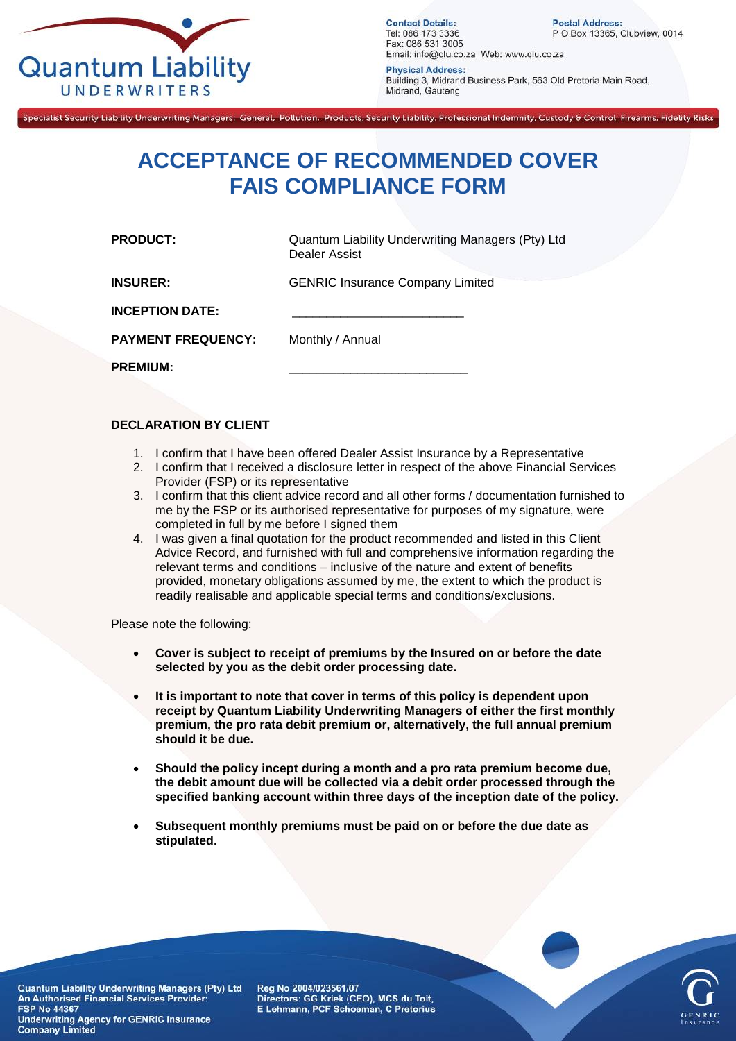

**Contact Details:** Tel: 086 173 3336 Fax: 086 531 3005 Email: info@qlu.co.za Web: www.qlu.co.za

**Postal Address:** P O Box 13365, Clubview, 0014

**Physical Address:** Building 3, Midrand Business Park, 563 Old Pretoria Main Road, Midrand, Gauteng

Specialist Security Liability Underwriting Managers: General, Pollution, Products, Security Liability, Professional Indemnity, Custody & Control, Firearms, Fidelity Risks

## **ACCEPTANCE OF RECOMMENDED COVER FAIS COMPLIANCE FORM**

**PRODUCT:** Quantum Liability Underwriting Managers (Pty) Ltd Dealer Assist

**INSURER:** GENRIC Insurance Company Limited

**INCEPTION DATE:** 

**PAYMENT FREQUENCY:** Monthly / Annual

**PREMIUM:** 

## **DECLARATION BY CLIENT**

- 1. I confirm that I have been offered Dealer Assist Insurance by a Representative
- 2. I confirm that I received a disclosure letter in respect of the above Financial Services Provider (FSP) or its representative
- 3. I confirm that this client advice record and all other forms / documentation furnished to me by the FSP or its authorised representative for purposes of my signature, were completed in full by me before I signed them
- 4. I was given a final quotation for the product recommended and listed in this Client Advice Record, and furnished with full and comprehensive information regarding the relevant terms and conditions – inclusive of the nature and extent of benefits provided, monetary obligations assumed by me, the extent to which the product is readily realisable and applicable special terms and conditions/exclusions.

Please note the following:

- **Cover is subject to receipt of premiums by the Insured on or before the date selected by you as the debit order processing date.**
- **It is important to note that cover in terms of this policy is dependent upon receipt by Quantum Liability Underwriting Managers of either the first monthly premium, the pro rata debit premium or, alternatively, the full annual premium should it be due.**
- **Should the policy incept during a month and a pro rata premium become due, the debit amount due will be collected via a debit order processed through the specified banking account within three days of the inception date of the policy.**
- **Subsequent monthly premiums must be paid on or before the due date as stipulated.**

Quantum Liability Underwriting Managers (Pty) Ltd An Authorised Financial Services Provider: **FSP No 44367 Underwriting Agency for GENRIC Insurance Company Limited** 

Reg No 2004/023561/07 Directors: GG Kriek (CEO), MCS du Toit, E Lehmann, PCF Schoeman, C Pretorius